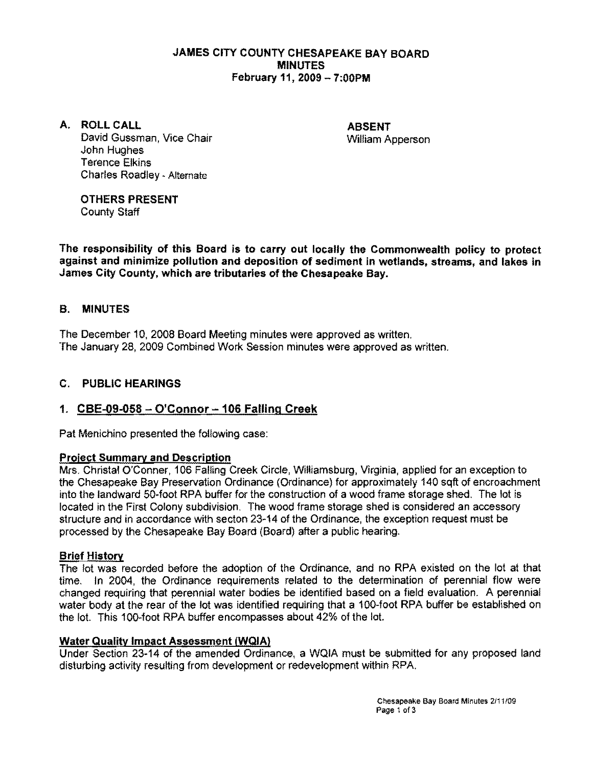### JAMES CITY COUNTY CHESAPEAKE BAY BOARD MINUTES February 11, 2009 - 7:00PM

A. ROLL CALL ABSENT David Gussman, Vice Chair National Communication of William Apperson John Hughes Terence Elkins Charles Roadley - Alternate

OTHERS PRESENT County Staff

The responsibility of this Board is to carry out locally the Commonwealth policy to protect against and minimize pollution and deposition of sediment in wetlands, streams, and lakes in James City County, which are tributaries of the Chesapeake Bay.

## B. MINUTES

The December 10, 2008 Board Meeting minutes were approved as written. The January 28, 2009 Combined Work Session minutes were approved as written.

### C. PUBLIC HEARINGS

# 1.  $CBE-09-058 - O'Connor - 106 Falling Creek$

Pat Menichino presented the following case:

#### Project Summary and Description

Mrs. Christal O'Conner, 106 Falling Creek Circle, Williamsburg. Virginia. applied for an exception to the Chesapeake Bay Preservation Ordinance (Ordinance) for approximately 140 sqft of encroachment into the landward 50·foot RPA buffer for the construction of a wood frame storage shed. The lot is located in the First Colony subdivision. The wood frame storage shed is considered an accessory structure and in accordance with seeton 23·14 of the Ordinance. the exception request must be processed by the Chesapeake Bay Board (Board) after a public hearing.

#### Brief History

The lot was recorded before the adoption of the Ordinance, and no RPA existed on the lot at that time. In 2004. the Ordinance requirements related to the determination of perennial flow were changed requiring that perennial water bodies be identified based on a field evaluation. A perennial water body at the rear of the lot was identified requiring that a 100-foot RPA buffer be established on the lot. This 100-foot RPA buffer encompasses about 42% of the lot.

#### Water Quality Impact Assessment (WgIA)

Under Section 23·14 of the amended Ordinance, a WQIA must be submitted for any proposed land disturbing activity resulting from development or redevelopment within RPA.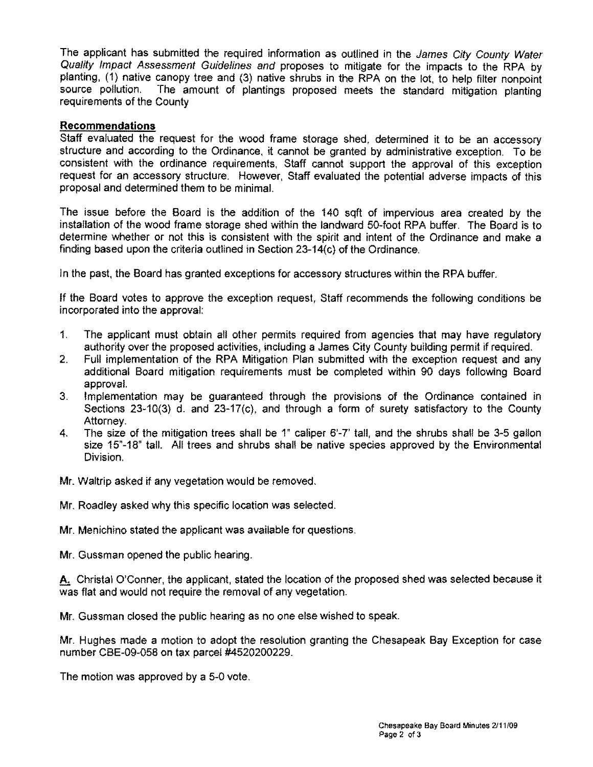The applicant has submitted the required information as outlined in the James City County Water Quality Impact Assessment Guidelines and proposes to mitigate for the impacts to the RPA by planting, (1) native canopy tree and (3) native shrubs in the RPA on the lot, to help filter nonpoint source pollution. The amount of plantings proposed meets the standard mitigation planting requirements of the County

#### **Recommendations**

Staff evaluated the request for the wood frame storage shed, determined it to be an accessory structure and according to the Ordinance, it cannot be granted by administrative exception. To be consistent with the ordinance requirements, Staff cannot support the approval of this exception request for an accessory structure. However, Staff evaluated the potential adverse impacts of this proposal and determined them to be minimal.

The issue before the Board is the addition of the 140 sqft of impervious area created by the installation of the wood frame storage shed within the landward 50-foot RPA buffer. The Board is to determine whether or not this is consistent with the spirit and intent of the Ordinance and make a finding based upon the criteria outlined in Section 23-14(c) of the Ordinance.

In the past, the Board has granted exceptions for accessory structures within the RPA buffer.

If the Board votes to approve the exception request, Staff recommends the following conditions be incorporated into the approval:

- 1. The applicant must obtain all other permits required from agencies that may have requiatory authority over the proposed activities, including a James City County building permit if required.
- 2. Full implementation of the RPA Mitigation Plan submitted with the exception request and any additional Board mitigation requirements must be completed within 90 days following Board approval.
- 3. Implementation may be guaranteed through the provisions of the Ordinance contained in Sections 23-10(3) d. and 23-17(c), and through a form of surety satisfactory to the County Attorney.
- 4. The size of the mitigation trees shall be 1" caliper 6'-7' tall, and the shrubs shall be 3-5 gallon size 15"-18" tall. All trees and shrubs shall be native species approved by the Environmental Division.
- Mr. Waltrip asked if any vegetation would be removed.
- Mr. Roadley asked why this specific location was selected.
- Mr. Menichino stated the applicant was available for questions.
- Mr. Gussman opened the public hearing.

A. Christal O'Conner, the applicant, stated the location of the proposed shed was selected because it was flat and would not require the removal of any vegetation.

Mr. Gussman closed the public hearing as no one else wished to speak.

Mr. Hughes made a motion to adopt the resolution granting the Chesapeak Bay Exception for case number CBE-09-058 on tax parcel #4520200229.

The motion was approved by a 5-0 vote.